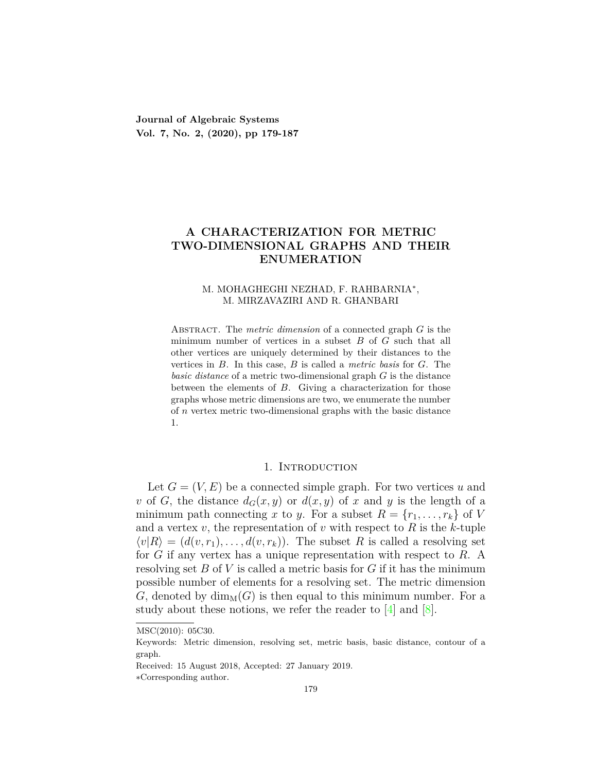**Journal of Algebraic Systems Vol. 7, No. 2, (2020), pp 179-187**

# **A CHARACTERIZATION FOR METRIC TWO-DIMENSIONAL GRAPHS AND THEIR ENUMERATION**

## M. MOHAGHEGHI NEZHAD, F. RAHBARNIA*<sup>∗</sup>* , M. MIRZAVAZIRI AND R. GHANBARI

Abstract. The *metric dimension* of a connected graph *G* is the minimum number of vertices in a subset *B* of *G* such that all other vertices are uniquely determined by their distances to the vertices in *B*. In this case, *B* is called a *metric basis* for *G*. The *basic distance* of a metric two-dimensional graph *G* is the distance between the elements of *B*. Giving a characterization for those graphs whose metric dimensions are two, we enumerate the number of *n* vertex metric two-dimensional graphs with the basic distance 1.

## 1. Introduction

Let  $G = (V, E)$  be a connected simple graph. For two vertices *u* and *v* of *G*, the distance  $d_G(x, y)$  or  $d(x, y)$  of *x* and *y* is the length of a minimum path connecting *x* to *y*. For a subset  $R = \{r_1, \ldots, r_k\}$  of *V* and a vertex  $v$ , the representation of  $v$  with respect to  $R$  is the  $k$ -tuple  $\langle v|R \rangle = (d(v,r_1), \ldots, d(v,r_k))$ . The subset *R* is called a resolving set for *G* if any vertex has a unique representation with respect to *R*. A resolving set *B* of *V* is called a metric basis for *G* if it has the minimum possible number of elements for a resolving set. The metric dimension *G*, denoted by  $\dim_M(G)$  is then equal to this minimum number. For a study about these notions, we refer the reader to  $[4]$  and  $[8]$ .

MSC(2010): 05C30.

Keywords: Metric dimension, resolving set, metric basis, basic distance, contour of a graph.

Received: 15 August 2018, Accepted: 27 January 2019.

*<sup>∗</sup>*Corresponding author.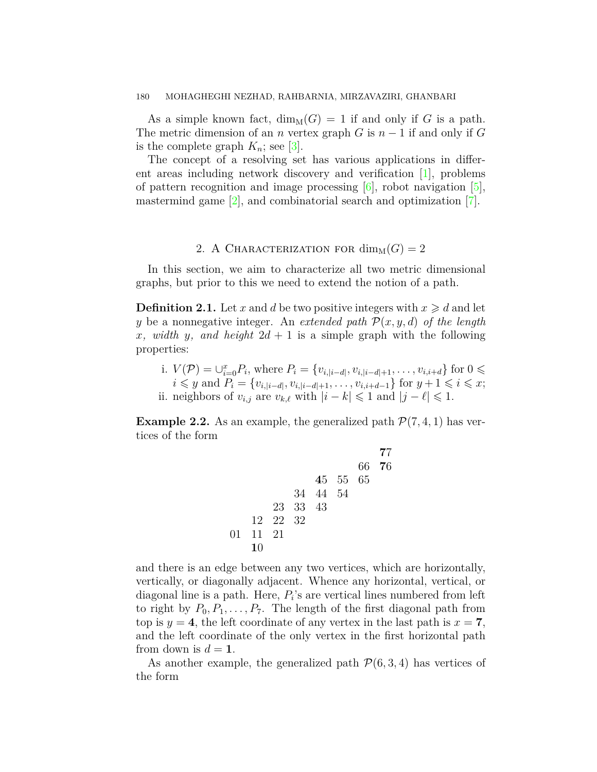### 180 MOHAGHEGHI NEZHAD, RAHBARNIA, MIRZAVAZIRI, GHANBARI

As a simple known fact,  $\dim_M(G) = 1$  if and only if G is a path. The metric dimension of an *n* vertex graph *G* is  $n-1$  if and only if *G* isthe complete graph  $K_n$ ; see [[3\]](#page-8-2).

The concept of a resolving set has various applications in different areas including network discovery and verification [[1](#page-8-3)], problems of pattern recognition and image processing  $[6]$ , robot navigation  $[5]$  $[5]$ , mastermind game  $[2]$  $[2]$ , and combinatorial search and optimization  $[7]$ .

# 2. A CHARACTERIZATION FOR  $\dim_M(G) = 2$

In this section, we aim to characterize all two metric dimensional graphs, but prior to this we need to extend the notion of a path.

**Definition 2.1.** Let x and d be two positive integers with  $x \geq d$  and let *y* be a nonnegative integer. An *extended path P*(*x, y, d*) *of the length x, width y, and height*  $2d + 1$  is a simple graph with the following properties:

i.  $V(\mathcal{P}) = \bigcup_{i=0}^{x} P_i$ , where  $P_i = \{v_{i,|i-d|}, v_{i,|i-d|+1}, \dots, v_{i,i+d}\}$  for  $0 \leq$  $i \leq y$  and  $P_i = \{v_{i, |i-d|}, v_{i, |i-d|+1}, \ldots, v_{i, i+d-1}\}$  for  $y+1 \leq i \leq x$ ; ii. neighbors of  $v_{i,j}$  are  $v_{k,\ell}$  with  $|i - k| \leq 1$  and  $|j - \ell| \leq 1$ .

**Example 2.2.** As an example, the generalized path  $P(7, 4, 1)$  has vertices of the form

$$
\begin{array}{@{}lllllllll@{}} & & & & & & 77 \\ \hline & 66 & 76 & & & & \\ & 45 & 55 & 65 & & & \\ & 34 & 44 & 54 & & & \\ & 23 & 33 & 43 & & & \\ & 12 & 22 & 32 & & & \\ 01 & 11 & 21 & & & & \\ & 10 & & & & & & \end{array}
$$

and there is an edge between any two vertices, which are horizontally, vertically, or diagonally adjacent. Whence any horizontal, vertical, or diagonal line is a path. Here,  $P_i$ 's are vertical lines numbered from left to right by  $P_0, P_1, \ldots, P_7$ . The length of the first diagonal path from top is  $y = 4$ , the left coordinate of any vertex in the last path is  $x = 7$ , and the left coordinate of the only vertex in the first horizontal path from down is  $d = 1$ .

As another example, the generalized path  $P(6, 3, 4)$  has vertices of the form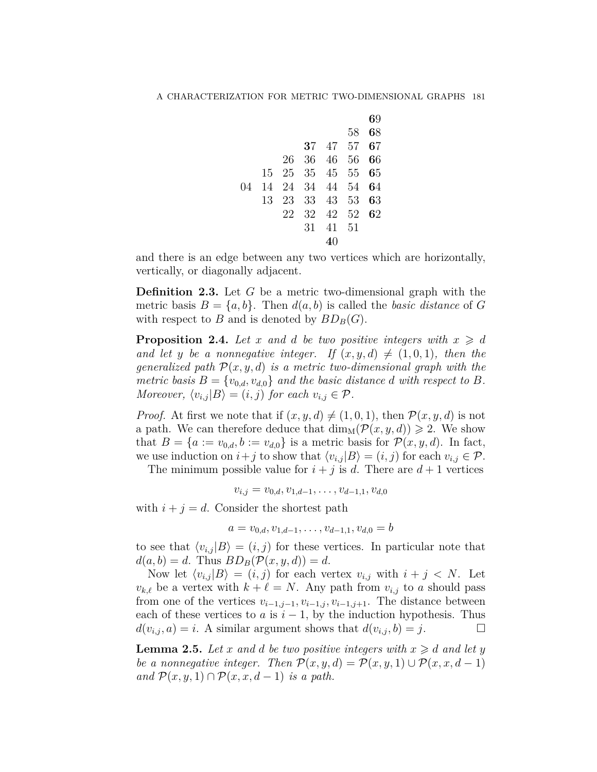|    |    |    |                |          |      | 69 |
|----|----|----|----------------|----------|------|----|
|    |    |    |                |          | 58   | 68 |
|    |    |    |                | 37 47 57 |      | 67 |
|    |    | 26 |                | 36 46 56 |      | 66 |
|    |    |    | 15 25 35 45 55 |          |      | 65 |
| 04 | 14 | 24 | 34 44          |          | - 54 | 64 |
|    | 13 | 23 |                | 33 43 53 |      | 63 |
|    |    | 22 | 32             | 42 52    |      | 62 |
|    |    |    | 31             | 41       | - 51 |    |
|    |    |    |                |          |      |    |

and there is an edge between any two vertices which are horizontally, vertically, or diagonally adjacent.

**Definition 2.3.** Let *G* be a metric two-dimensional graph with the metric basis  $B = \{a, b\}$ . Then  $d(a, b)$  is called the *basic distance* of G with respect to *B* and is denoted by  $BD_B(G)$ .

**Proposition 2.4.** Let x and d be two positive integers with  $x \geq d$ *and let y be a nonnegative integer.* If  $(x, y, d) \neq (1, 0, 1)$ *, then the generalized path*  $P(x, y, d)$  *is a metric two-dimensional graph with the metric basis*  $B = \{v_{0,d}, v_{d,0}\}$  *and the basic distance d with respect to*  $B$ *. Moreover,*  $\langle v_{i,j} | B \rangle = (i, j)$  *for each*  $v_{i,j} \in \mathcal{P}$ *.* 

*Proof.* At first we note that if  $(x, y, d) \neq (1, 0, 1)$ , then  $\mathcal{P}(x, y, d)$  is not a path. We can therefore deduce that  $\dim_M(\mathcal{P}(x, y, d)) \geq 2$ . We show that  $B = \{a := v_{0,d}, b := v_{d,0}\}$  is a metric basis for  $\mathcal{P}(x, y, d)$ . In fact, we use induction on  $i + j$  to show that  $\langle v_{i,j} | B \rangle = (i, j)$  for each  $v_{i,j} \in \mathcal{P}$ .

The minimum possible value for  $i + j$  is *d*. There are  $d + 1$  vertices

$$
v_{i,j} = v_{0,d}, v_{1,d-1}, \ldots, v_{d-1,1}, v_{d,0}
$$

with  $i + j = d$ . Consider the shortest path

$$
a = v_{0,d}, v_{1,d-1}, \ldots, v_{d-1,1}, v_{d,0} = b
$$

to see that  $\langle v_{i,j} | B \rangle = (i,j)$  for these vertices. In particular note that  $d(a, b) = d$ . Thus  $BD_B(\mathcal{P}(x, y, d)) = d$ .

Now let  $\langle v_{i,j} | B \rangle = (i, j)$  for each vertex  $v_{i,j}$  with  $i + j \langle N$ . Let  $v_{k,\ell}$  be a vertex with  $k+\ell=N$ . Any path from  $v_{i,j}$  to *a* should pass from one of the vertices  $v_{i-1,j-1}, v_{i-1,j}, v_{i-1,j+1}$ . The distance between each of these vertices to  $a$  is  $i - 1$ , by the induction hypothesis. Thus  $d(v_{i,j}, a) = i$ . A similar argument shows that  $d(v_{i,j}, b) = j$ . □

<span id="page-2-0"></span>**Lemma 2.5.** Let *x* and *d* be two positive integers with  $x \geq d$  and let *y be a nonnegative integer. Then*  $\mathcal{P}(x, y, d) = \mathcal{P}(x, y, 1) \cup \mathcal{P}(x, x, d - 1)$ *and*  $\mathcal{P}(x, y, 1)$  ∩  $\mathcal{P}(x, x, d-1)$  *is a path.*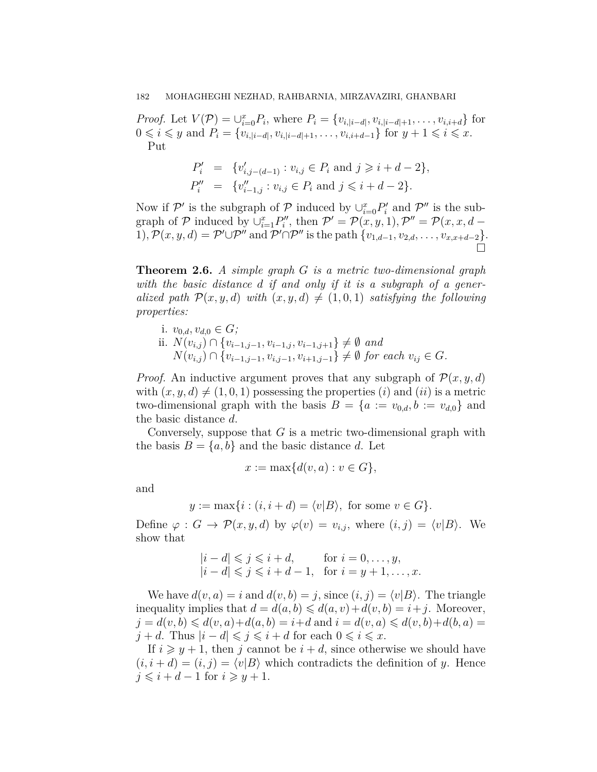*Proof.* Let  $V(\mathcal{P}) = \bigcup_{i=0}^{x} P_i$ , where  $P_i = \{v_{i, |i-d|}, v_{i, |i-d|+1}, \ldots, v_{i, i+d}\}\$  for  $0 \leq i \leq y$  and  $P_i = \{v_{i, |i-d|}, v_{i, |i-d|+1}, \ldots, v_{i, i+d-1}\}$  for  $y + 1 \leq i \leq x$ . Put

$$
P'_{i} = \{v'_{i,j-(d-1)} : v_{i,j} \in P_{i} \text{ and } j \geq i+d-2\},
$$
  

$$
P''_{i} = \{v''_{i-1,j} : v_{i,j} \in P_{i} \text{ and } j \leq i+d-2\}.
$$

Now if  $\mathcal{P}'$  is the subgraph of  $\mathcal{P}$  induced by  $\bigcup_{i=0}^x P'_i$  and  $\mathcal{P}''$  is the subgraph of  $P$  induced by  $\cup_{i=1}^{x} P_i''$ , then  $P' = P(x, y, 1), P'' = P(x, x, d -$ 1),  $\mathcal{P}(x, y, d) = \mathcal{P}' \cup \mathcal{P}''$  and  $\mathcal{P}' \cap \mathcal{P}''$  is the path  $\{v_{1,d-1}, v_{2,d}, \ldots, v_{x,x+d-2}\}.$ □

<span id="page-3-0"></span>**Theorem 2.6.** *A simple graph G is a metric two-dimensional graph with the basic distance d if and only if it is a subgraph of a generalized path*  $\mathcal{P}(x, y, d)$  *with*  $(x, y, d) \neq (1, 0, 1)$  *satisfying the following properties:*

- i.  $v_{0,d}, v_{d,0} \in G$ ;
- ii. *N*(*vi,j* ) *∩ {v<sup>i</sup>−*1*,j−*<sup>1</sup>*, v<sup>i</sup>−*1*,j , v<sup>i</sup>−*1*,j*+1*} ̸*= *∅ and*  $N(v_{i,j}) \cap \{v_{i-1,j-1}, v_{i,j-1}, v_{i+1,j-1}\} \neq \emptyset$  for each  $v_{ij} \in G$ .

*Proof.* An inductive argument proves that any subgraph of  $\mathcal{P}(x, y, d)$ with  $(x, y, d) \neq (1, 0, 1)$  possessing the properties  $(i)$  and  $(ii)$  is a metric two-dimensional graph with the basis  $B = \{a := v_{0,d}, b := v_{d,0}\}\$ and the basic distance *d*.

Conversely, suppose that *G* is a metric two-dimensional graph with the basis  $B = \{a, b\}$  and the basic distance *d*. Let

$$
x := \max\{d(v, a) : v \in G\},\
$$

and

$$
y := \max\{i : (i, i + d) = \langle v|B\rangle, \text{ for some } v \in G\}.
$$

Define  $\varphi : G \to \mathcal{P}(x, y, d)$  by  $\varphi(v) = v_{i,j}$ , where  $(i, j) = \langle v | B \rangle$ . We show that

$$
|i - d| \leq j \leq i + d,
$$
 for  $i = 0, ..., y,$   
\n
$$
|i - d| \leq j \leq i + d - 1
$$
, for  $i = y + 1, ..., x$ .

We have  $d(v, a) = i$  and  $d(v, b) = j$ , since  $(i, j) = \langle v | B \rangle$ . The triangle inequality implies that  $d = d(a, b) \leq d(a, v) + d(v, b) = i + j$ . Moreover,  $j = d(v, b) \le d(v, a) + d(a, b) = i + d$  and  $i = d(v, a) \le d(v, b) + d(b, a) =$  $j + d$ . Thus  $|i - d| \leq j \leq i + d$  for each  $0 \leq i \leq x$ .

If  $i \geq y + 1$ , then *j* cannot be  $i + d$ , since otherwise we should have  $(i, i+d) = (i, j) = \langle v | B \rangle$  which contradicts the definition of *y*. Hence  $j \leq i + d - 1$  for  $i \geq y + 1$ .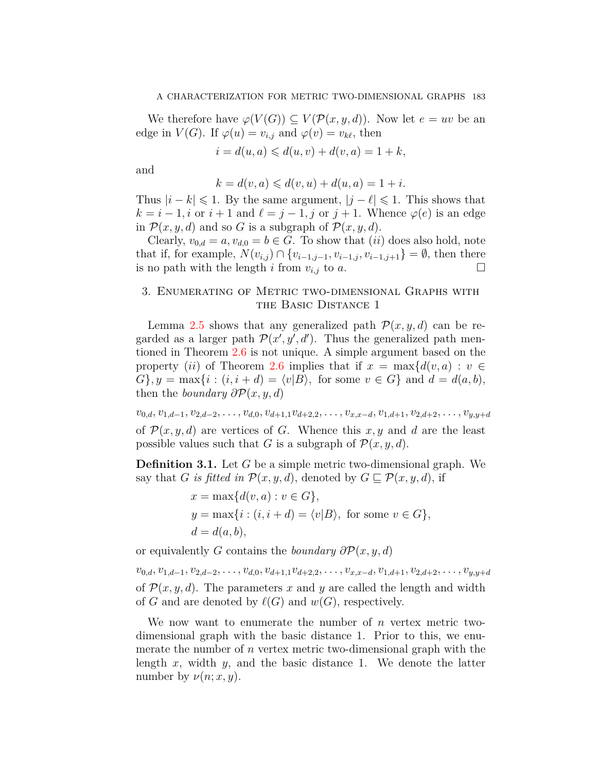We therefore have  $\varphi(V(G)) \subseteq V(\mathcal{P}(x,y,d))$ . Now let  $e = uv$  be an edge in  $V(G)$ . If  $\varphi(u) = v_{i,j}$  and  $\varphi(v) = v_{k\ell}$ , then

$$
i = d(u, a) \leq d(u, v) + d(v, a) = 1 + k,
$$

and

$$
k = d(v, a) \leq d(v, u) + d(u, a) = 1 + i.
$$

Thus  $|i - k| \leq 1$ . By the same argument,  $|j - \ell| \leq 1$ . This shows that  $k = i - 1, i$  or  $i + 1$  and  $\ell = j - 1, j$  or  $j + 1$ . Whence  $\varphi(e)$  is an edge in  $\mathcal{P}(x, y, d)$  and so *G* is a subgraph of  $\mathcal{P}(x, y, d)$ .

Clearly,  $v_{0,d} = a$ ,  $v_{d,0} = b \in G$ . To show that *(ii)* does also hold, note that if, for example,  $N(v_{i,j}) \cap \{v_{i-1,j-1}, v_{i-1,j}, v_{i-1,j+1}\} = ∅$ , then there is no path with the length *i* from  $v_{i,j}$  to *a*. is no path with the length *i* from  $v_{i,j}$  to *a*.

# 3. Enumerating of Metric two-dimensional Graphs with the Basic Distance 1

Lemma [2.5](#page-2-0) shows that any generalized path  $\mathcal{P}(x, y, d)$  can be regarded as a larger path  $\mathcal{P}(x', y', d')$ . Thus the generalized path mentioned in Theorem [2.6](#page-3-0) is not unique. A simple argument based on the property (*ii*) of Theorem [2.6](#page-3-0) implies that if  $x = \max\{d(v, a) : v \in$  $G$ *}*,  $y = \max\{i : (i, i + d) = \langle v|B \rangle$ , for some  $v \in G$  and  $d = d(a, b)$ , then the *boundary*  $\partial P(x, y, d)$ 

 $v_{0,d}, v_{1,d-1}, v_{2,d-2}, \ldots, v_{d,0}, v_{d+1,1}v_{d+2,2}, \ldots, v_{x,x-d}, v_{1,d+1}, v_{2,d+2}, \ldots, v_{y,y+d}$ of  $\mathcal{P}(x, y, d)$  are vertices of *G*. Whence this *x*, *y* and *d* are the least possible values such that *G* is a subgraph of  $\mathcal{P}(x, y, d)$ .

**Definition 3.1.** Let *G* be a simple metric two-dimensional graph. We say that *G is fitted in*  $\mathcal{P}(x, y, d)$ , denoted by  $G \sqsubseteq \mathcal{P}(x, y, d)$ , if

$$
x = \max\{d(v, a) : v \in G\},
$$
  
\n
$$
y = \max\{i : (i, i + d) = \langle v|B\rangle, \text{ for some } v \in G\},
$$
  
\n
$$
d = d(a, b),
$$

or equivalently *G* contains the *boundary*  $\partial P(x, y, d)$ 

 $v_{0,d}, v_{1,d-1}, v_{2,d-2}, \ldots, v_{d,0}, v_{d+1,1}v_{d+2,2}, \ldots, v_{x,x-d}, v_{1,d+1}, v_{2,d+2}, \ldots, v_{y,y+d}$ of  $\mathcal{P}(x, y, d)$ . The parameters x and y are called the length and width of *G* and are denoted by  $\ell(G)$  and  $w(G)$ , respectively.

We now want to enumerate the number of *n* vertex metric twodimensional graph with the basic distance 1. Prior to this, we enumerate the number of *n* vertex metric two-dimensional graph with the length *x*, width *y*, and the basic distance 1. We denote the latter number by  $\nu(n; x, y)$ .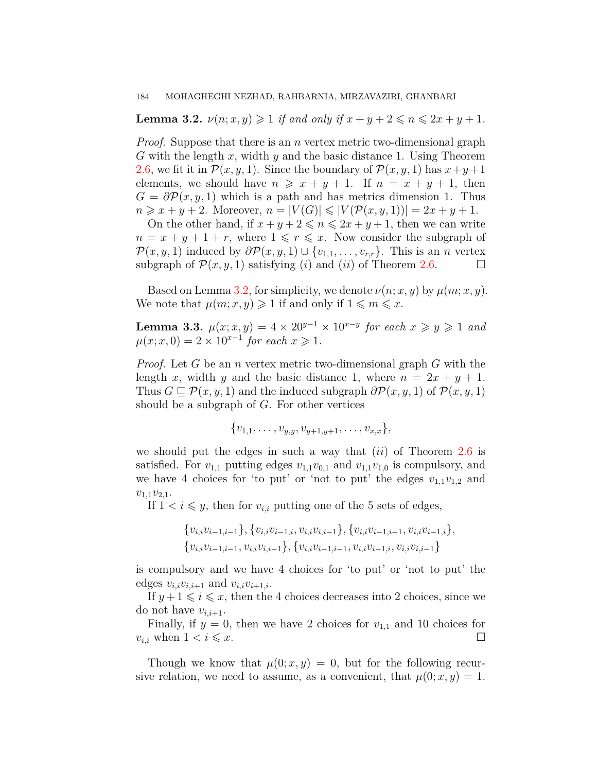<span id="page-5-0"></span>**Lemma 3.2.**  $\nu(n; x, y) \geq 1$  *if and only if*  $x + y + 2 \leq n \leq 2x + y + 1$ *.* 

*Proof.* Suppose that there is an *n* vertex metric two-dimensional graph *G* with the length *x*, width *y* and the basic distance 1. Using Theorem [2.6](#page-3-0), we fit it in  $\mathcal{P}(x, y, 1)$ . Since the boundary of  $\mathcal{P}(x, y, 1)$  has  $x+y+1$ elements, we should have  $n \geq x + y + 1$ . If  $n = x + y + 1$ , then  $G = \partial P(x, y, 1)$  which is a path and has metrics dimension 1. Thus  $n \geq x + y + 2$ . Moreover,  $n = |V(G)| \leq |V(\mathcal{P}(x, y, 1))| = 2x + y + 1$ .

On the other hand, if  $x + y + 2 \leq n \leq 2x + y + 1$ , then we can write  $n = x + y + 1 + r$ , where  $1 \leq r \leq x$ . Now consider the subgraph of  $\mathcal{P}(x, y, 1)$  induced by  $\partial \mathcal{P}(x, y, 1) \cup \{v_{1,1}, \ldots, v_{r,r}\}$ . This is an *n* vertex subgraph of  $\mathcal{P}(x, y, 1)$  satisfying (*i*) and (*ii*) of Theorem [2.6.](#page-3-0) □

Based on Lemma [3.2,](#page-5-0) for simplicity, we denote  $\nu(n; x, y)$  by  $\mu(m; x, y)$ . We note that  $\mu(m; x, y) \geq 1$  if and only if  $1 \leq m \leq x$ .

**Lemma 3.3.**  $\mu(x; x, y) = 4 \times 20^{y-1} \times 10^{x-y}$  for each  $x \ge y \ge 1$  and  $\mu(x; x, 0) = 2 \times 10^{x-1}$  for each  $x \ge 1$ .

*Proof.* Let *G* be an *n* vertex metric two-dimensional graph *G* with the length *x*, width *y* and the basic distance 1, where  $n = 2x + y + 1$ . Thus  $G \subseteq \mathcal{P}(x, y, 1)$  and the induced subgraph  $\partial \mathcal{P}(x, y, 1)$  of  $\mathcal{P}(x, y, 1)$ should be a subgraph of *G*. For other vertices

$$
\{v_{1,1},\ldots,v_{y,y},v_{y+1,y+1},\ldots,v_{x,x}\},\,
$$

we should put the edges in such a way that (*ii*) of Theorem [2.6](#page-3-0) is satisfied. For  $v_{1,1}$  putting edges  $v_{1,1}v_{0,1}$  and  $v_{1,1}v_{1,0}$  is compulsory, and we have 4 choices for 'to put' or 'not to put' the edges  $v_{1,1}v_{1,2}$  and *v*1*,*1*v*2*,*1.

If  $1 < i \leq y$ , then for  $v_{i,i}$  putting one of the 5 sets of edges,

$$
\{v_{i,i}v_{i-1,i-1}\}, \{v_{i,i}v_{i-1,i}, v_{i,i}v_{i,i-1}\}, \{v_{i,i}v_{i-1,i-1}, v_{i,i}v_{i-1,i}\}, \{v_{i,i}v_{i-1,i-1}, v_{i,i}v_{i,i-1}\}, \{v_{i,i}v_{i-1,i-1}, v_{i,i}v_{i-1,i}, v_{i,i}v_{i,i-1}\}
$$

is compulsory and we have 4 choices for 'to put' or 'not to put' the edges  $v_{i,i}v_{i,i+1}$  and  $v_{i,i}v_{i+1,i}$ .

If  $y+1 \leq i \leq x$ , then the 4 choices decreases into 2 choices, since we do not have  $v_{i,i+1}$ .

Finally, if  $y = 0$ , then we have 2 choices for  $v_{1,1}$  and 10 choices for  $v_{i,i}$  when  $1 < i \leq x$ .

Though we know that  $\mu(0; x, y) = 0$ , but for the following recursive relation, we need to assume, as a convenient, that  $\mu(0; x, y) = 1$ .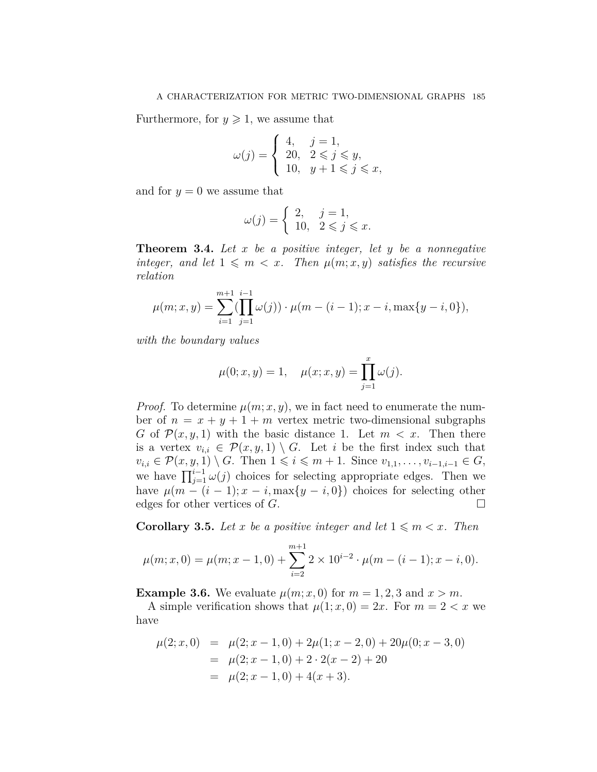Furthermore, for  $y \geq 1$ , we assume that

$$
\omega(j) = \begin{cases} 4, & j = 1, \\ 20, & 2 \leq j \leq y, \\ 10, & y + 1 \leq j \leq x, \end{cases}
$$

and for  $y = 0$  we assume that

$$
\omega(j) = \begin{cases} 2, & j = 1, \\ 10, & 2 \leqslant j \leqslant x. \end{cases}
$$

**Theorem 3.4.** *Let x be a positive integer, let y be a nonnegative integer, and let*  $1 \leq m \leq x$ *. Then*  $\mu(m; x, y)$  *satisfies the recursive relation*

$$
\mu(m; x, y) = \sum_{i=1}^{m+1} (\prod_{j=1}^{i-1} \omega(j)) \cdot \mu(m - (i-1); x - i, \max\{y - i, 0\}),
$$

*with the boundary values*

$$
\mu(0; x, y) = 1, \quad \mu(x; x, y) = \prod_{j=1}^{x} \omega(j).
$$

*Proof.* To determine  $\mu(m; x, y)$ , we in fact need to enumerate the number of  $n = x + y + 1 + m$  vertex metric two-dimensional subgraphs *G* of  $\mathcal{P}(x, y, 1)$  with the basic distance 1. Let  $m < x$ . Then there is a vertex  $v_{i,i} \in \mathcal{P}(x,y,1) \setminus G$ . Let *i* be the first index such that  $v_{i,i} \in \mathcal{P}(x, y, 1) \setminus G$ . Then  $1 \leq i \leq m+1$ . Since  $v_{1,1}, \ldots, v_{i-1,i-1} \in G$ , we have  $\prod_{j=1}^{i-1} \omega(j)$  choices for selecting appropriate edges. Then we have  $\mu(m - (i - 1); x - i, \max\{y - i, 0\})$  choices for selecting other edges for other vertices of *G*.  $\Box$ 

<span id="page-6-0"></span>**Corollary 3.5.** Let *x* be a positive integer and let  $1 \leq m \leq x$ . Then

$$
\mu(m; x, 0) = \mu(m; x - 1, 0) + \sum_{i=2}^{m+1} 2 \times 10^{i-2} \cdot \mu(m - (i - 1); x - i, 0).
$$

**Example 3.6.** We evaluate  $\mu(m; x, 0)$  for  $m = 1, 2, 3$  and  $x > m$ .

A simple verification shows that  $\mu(1; x, 0) = 2x$ . For  $m = 2 < x$  we have

$$
\mu(2; x, 0) = \mu(2; x - 1, 0) + 2\mu(1; x - 2, 0) + 20\mu(0; x - 3, 0)
$$
  
= 
$$
\mu(2; x - 1, 0) + 2 \cdot 2(x - 2) + 20
$$
  
= 
$$
\mu(2; x - 1, 0) + 4(x + 3).
$$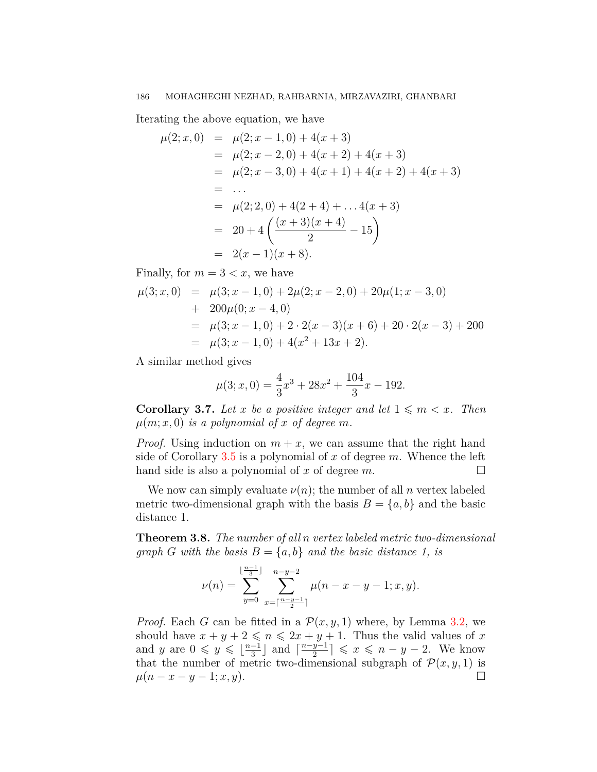Iterating the above equation, we have

$$
\mu(2; x, 0) = \mu(2; x - 1, 0) + 4(x + 3)
$$
  
=  $\mu(2; x - 2, 0) + 4(x + 2) + 4(x + 3)$   
=  $\mu(2; x - 3, 0) + 4(x + 1) + 4(x + 2) + 4(x + 3)$   
= ...  
=  $\mu(2; 2, 0) + 4(2 + 4) + ... 4(x + 3)$   
=  $20 + 4\left(\frac{(x + 3)(x + 4)}{2} - 15\right)$   
=  $2(x - 1)(x + 8)$ .

Finally, for  $m = 3 < x$ , we have

$$
\mu(3; x, 0) = \mu(3; x - 1, 0) + 2\mu(2; x - 2, 0) + 20\mu(1; x - 3, 0)
$$
  
+ 200\mu(0; x - 4, 0)  
=  $\mu(3; x - 1, 0) + 2 \cdot 2(x - 3)(x + 6) + 20 \cdot 2(x - 3) + 200$   
=  $\mu(3; x - 1, 0) + 4(x^2 + 13x + 2).$ 

A similar method gives

$$
\mu(3; x, 0) = \frac{4}{3}x^3 + 28x^2 + \frac{104}{3}x - 192.
$$

**Corollary 3.7.** Let x be a positive integer and let  $1 \leq m \leq x$ . Then  $\mu(m; x, 0)$  *is a polynomial of x of degree m.* 

*Proof.* Using induction on  $m + x$ , we can assume that the right hand side of Corollary [3.5](#page-6-0) is a polynomial of *x* of degree *m*. Whence the left hand side is also a polynomial of  $x$  of degree  $m$ .

We now can simply evaluate  $\nu(n)$ ; the number of all *n* vertex labeled metric two-dimensional graph with the basis  $B = \{a, b\}$  and the basic distance 1.

**Theorem 3.8.** *The number of all n vertex labeled metric two-dimensional graph G with the basis*  $B = \{a, b\}$  *and the basic distance 1, is* 

$$
\nu(n) = \sum_{y=0}^{\lfloor \frac{n-1}{3} \rfloor} \sum_{x=\lceil \frac{n-y-1}{2} \rceil}^{n-y-2} \mu(n-x-y-1;x,y).
$$

*Proof.* Each *G* can be fitted in a  $\mathcal{P}(x, y, 1)$  where, by Lemma [3.2](#page-5-0), we should have  $x + y + 2 \leq n \leq 2x + y + 1$ . Thus the valid values of x and *y* are  $0 \leq y \leq \lfloor \frac{n-1}{3} \rfloor$  and  $\lceil \frac{n-y-1}{2} \rceil \leq x \leq n-y-2$ . We know that the number of metric two-dimensional subgraph of  $\mathcal{P}(x, y, 1)$  is  $\mu(n-x-y-1; x, y).$  □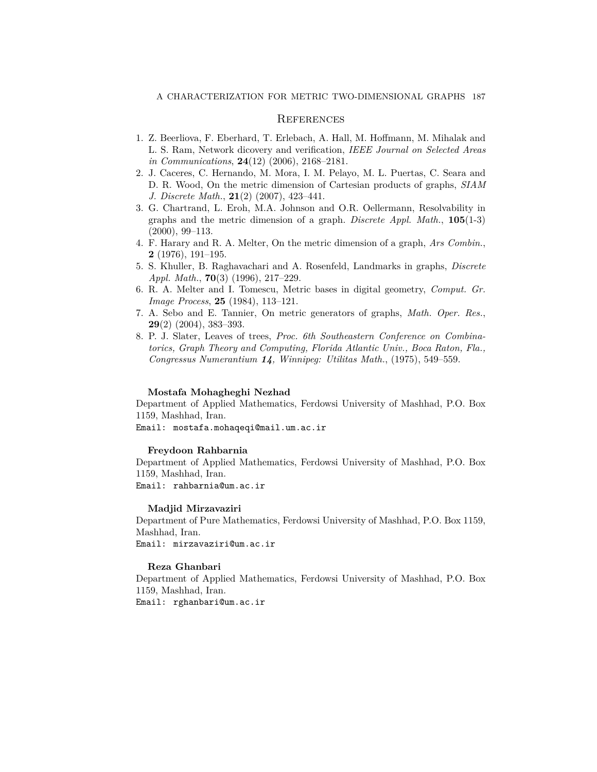## **REFERENCES**

- <span id="page-8-3"></span>1. Z. Beerliova, F. Eberhard, T. Erlebach, A. Hall, M. Hoffmann, M. Mihalak and L. S. Ram, Network dicovery and verification, *IEEE Journal on Selected Areas in Communications*, **24**(12) (2006), 2168–2181.
- <span id="page-8-6"></span>2. J. Caceres, C. Hernando, M. Mora, I. M. Pelayo, M. L. Puertas, C. Seara and D. R. Wood, On the metric dimension of Cartesian products of graphs, *SIAM J. Discrete Math.*, **21**(2) (2007), 423–441.
- <span id="page-8-2"></span>3. G. Chartrand, L. Eroh, M.A. Johnson and O.R. Oellermann, Resolvability in graphs and the metric dimension of a graph. *Discrete Appl. Math.*, **105**(1-3) (2000), 99–113.
- <span id="page-8-0"></span>4. F. Harary and R. A. Melter, On the metric dimension of a graph, *Ars Combin.*, **2** (1976), 191–195.
- <span id="page-8-5"></span>5. S. Khuller, B. Raghavachari and A. Rosenfeld, Landmarks in graphs, *Discrete Appl. Math.*, **70**(3) (1996), 217–229.
- <span id="page-8-4"></span>6. R. A. Melter and I. Tomescu, Metric bases in digital geometry, *Comput. Gr. Image Process*, **25** (1984), 113–121.
- <span id="page-8-7"></span>7. A. Sebo and E. Tannier, On metric generators of graphs, *Math. Oper. Res.*, **29**(2) (2004), 383–393.
- <span id="page-8-1"></span>8. P. J. Slater, Leaves of trees, *Proc. 6th Southeastern Conference on Combinatorics, Graph Theory and Computing, Florida Atlantic Univ., Boca Raton, Fla., Congressus Numerantium 14, Winnipeg: Utilitas Math.*, (1975), 549–559.

#### **Mostafa Mohagheghi Nezhad**

Department of Applied Mathematics, Ferdowsi University of Mashhad, P.O. Box 1159, Mashhad, Iran.

Email: mostafa.mohaqeqi@mail.um.ac.ir

### **Freydoon Rahbarnia**

Department of Applied Mathematics, Ferdowsi University of Mashhad, P.O. Box 1159, Mashhad, Iran.

Email: rahbarnia@um.ac.ir

### **Madjid Mirzavaziri**

Department of Pure Mathematics, Ferdowsi University of Mashhad, P.O. Box 1159, Mashhad, Iran. Email: mirzavaziri@um.ac.ir

## **Reza Ghanbari**

Department of Applied Mathematics, Ferdowsi University of Mashhad, P.O. Box 1159, Mashhad, Iran.

Email: rghanbari@um.ac.ir